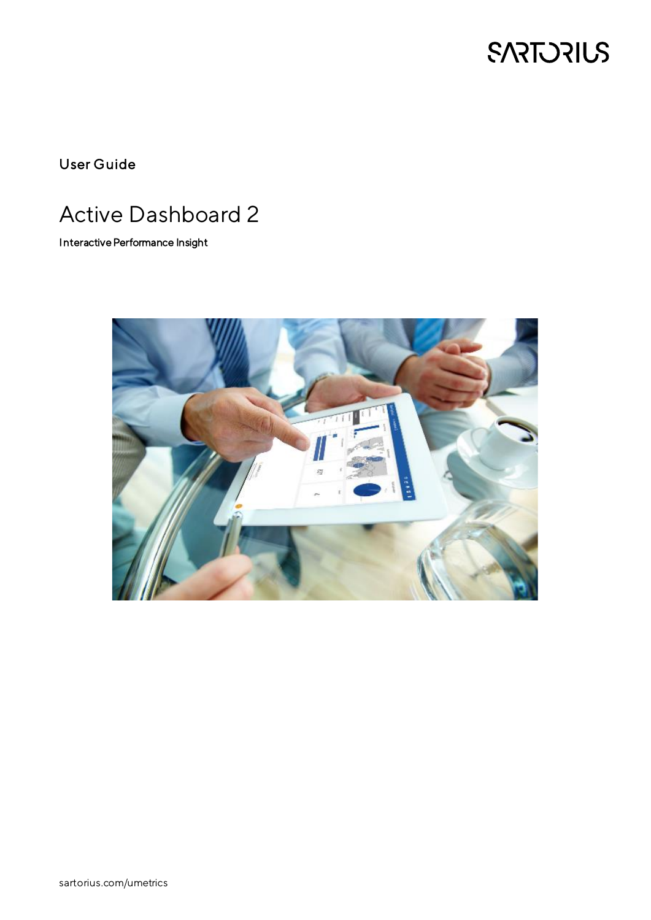

User Guide

# Active Dashboard 2

Interactive Performance Insight

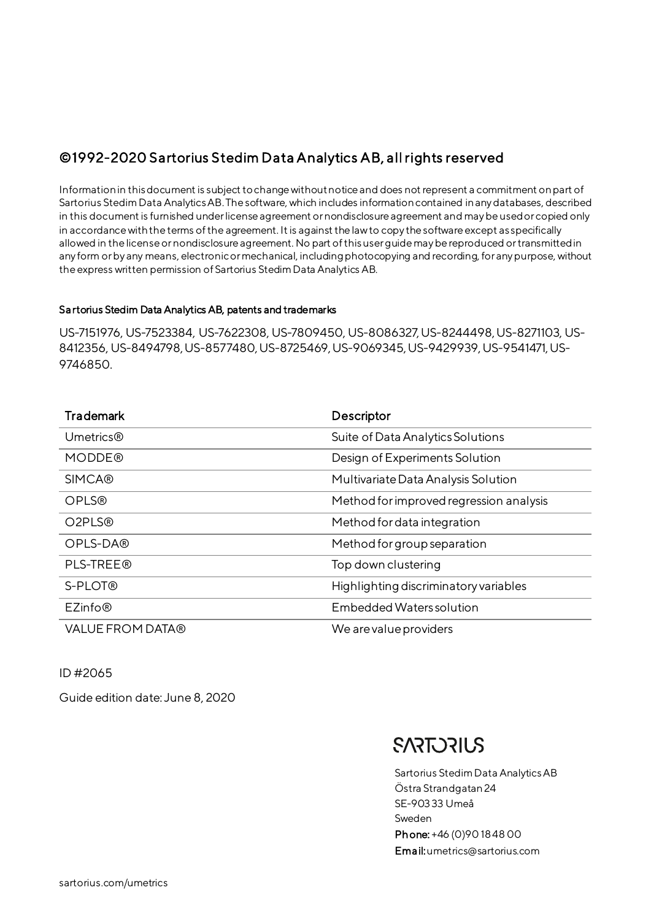## ©1992-2020 Sartorius Stedim Data Analytics AB, all rights reserved

Information in this document is subject to change without notice and does not represent a commitment on part of Sartorius Stedim Data Analytics AB. The software, which includes information contained in any databases, described in this document is furnished under license agreement or nondisclosure agreement and may be used or copied only in accordance with the terms of the agreement. It is against the law to copy the software except as specifically allowed in the license or nondisclosure agreement. No part of this user guide may be reproduced or transmitted in any form or by any means, electronic or mechanical, including photocopying and recording, for any purpose, without the express written permission of Sartorius Stedim Data Analytics AB.

#### Sartorius Stedim Data Analytics AB, patents and trademarks

US-7151976, US-7523384, US-7622308, US-7809450, US-8086327, US-8244498, US-8271103, US-8412356, US-8494798, US-8577480, US-8725469, US-9069345, US-9429939, US-9541471, US-9746850.

| <b>Trademark</b>                | Descriptor                              |
|---------------------------------|-----------------------------------------|
| Umetrics®                       | Suite of Data Analytics Solutions       |
| <b>MODDE®</b>                   | Design of Experiments Solution          |
| <b>SIMCA®</b>                   | Multivariate Data Analysis Solution     |
| <b>OPLS®</b>                    | Method for improved regression analysis |
| O <sub>2</sub> PL <sub>S®</sub> | Method for data integration             |
| OPLS-DA®                        | Method for group separation             |
| PLS-TREE®                       | Top down clustering                     |
| S-PLOT®                         | Highlighting discriminatory variables   |
| EZinfo <sup>®</sup>             | <b>Embedded Waters solution</b>         |
| <b>VALUE FROM DATA®</b>         | We are value providers                  |

ID #2065

Guide edition date: June 8, 2020

## **SARTORILS**

Sartorius Stedim Data Analytics AB Östra Strandgatan24 SE-90333 Umeå Sweden Phone: +46 (0)90 18 48 00 Email:umetrics@sartorius.com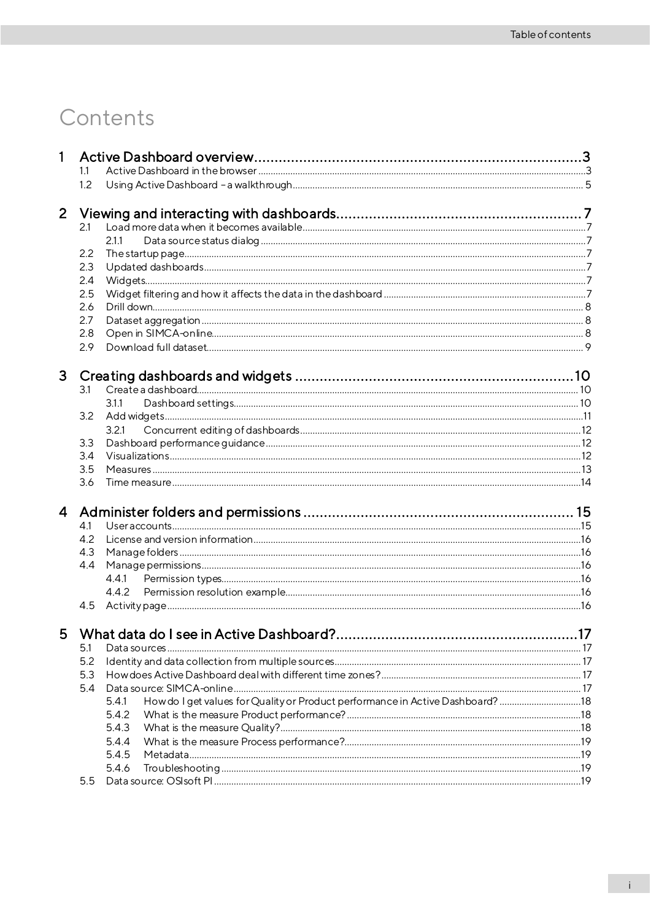# Contents

| 1              |     |                                                                                         |     |
|----------------|-----|-----------------------------------------------------------------------------------------|-----|
|                | 1.1 |                                                                                         |     |
|                | 1.2 |                                                                                         |     |
| $\overline{2}$ |     |                                                                                         |     |
|                | 2.1 |                                                                                         |     |
|                |     | 2.1.1                                                                                   |     |
|                | 2.2 |                                                                                         |     |
|                | 2.3 |                                                                                         |     |
|                | 2.4 |                                                                                         |     |
|                | 2.5 |                                                                                         |     |
|                | 2.6 |                                                                                         |     |
|                | 2.7 |                                                                                         |     |
|                | 2.8 |                                                                                         |     |
|                | 2.9 |                                                                                         |     |
| 3              |     |                                                                                         |     |
|                | 3.1 |                                                                                         |     |
|                |     | 3.1.1                                                                                   |     |
|                | 3.2 |                                                                                         |     |
|                |     | 3.2.1                                                                                   |     |
|                | 3.3 |                                                                                         |     |
|                | 3.4 |                                                                                         |     |
|                | 3.5 |                                                                                         |     |
|                | 3.6 |                                                                                         |     |
| $\overline{4}$ |     |                                                                                         |     |
|                | 4.1 |                                                                                         |     |
|                | 4.2 |                                                                                         |     |
|                | 4.3 |                                                                                         |     |
|                | 4.4 |                                                                                         |     |
|                |     |                                                                                         |     |
|                |     |                                                                                         |     |
|                | 4.5 |                                                                                         |     |
| 5.             |     | What data do I see in Active Dashboard?                                                 | .17 |
|                | 5.1 |                                                                                         |     |
|                | 5.2 |                                                                                         |     |
|                | 5.3 |                                                                                         |     |
|                | 5.4 |                                                                                         |     |
|                |     | How do I get values for Quality or Product performance in Active Dashboard? 18<br>5.4.1 |     |
|                |     | 5.4.2                                                                                   |     |
|                |     | 5.4.3                                                                                   |     |
|                |     | 5.4.4                                                                                   |     |
|                |     | 5.4.5                                                                                   |     |
|                |     | 5.4.6                                                                                   |     |
|                | 5.5 |                                                                                         |     |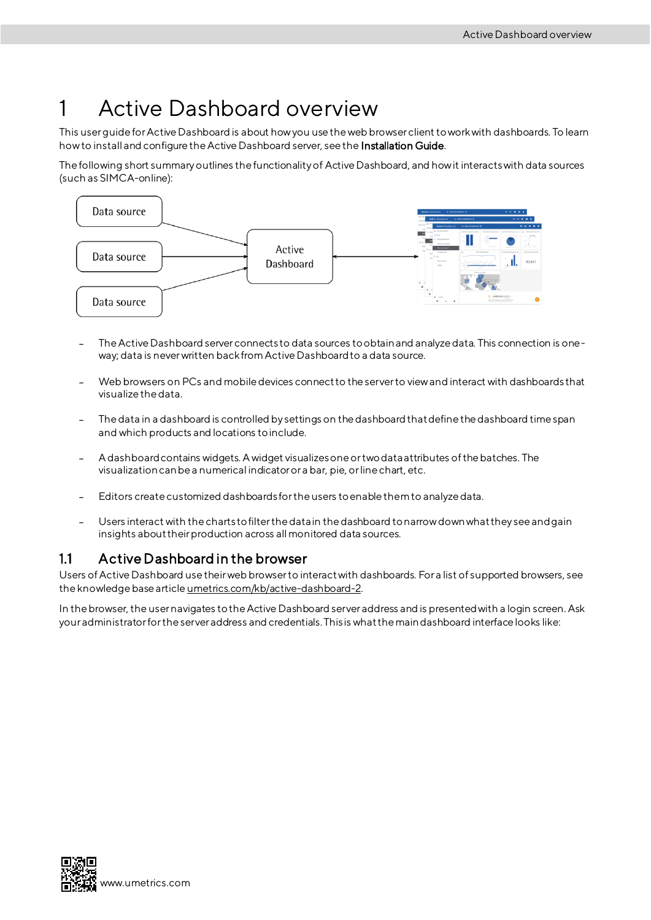# <span id="page-6-0"></span>1 Active Dashboard overview

This user guide for Active Dashboard is about how you use the web browser client to work with dashboards. To learn how to install and configure the Active Dashboard server, see the Installation Guide.

The following short summary outlines the functionality of Active Dashboard, and how it interacts with data sources (such as SIMCA-online):



- The Active Dashboard server connects to data sources to obtain and analyze data. This connection is oneway; data is never written back from Active Dashboard to a data source.
- Web browsers on PCs and mobile devices connect to the server to view and interact with dashboards that visualize the data.
- The data in a dashboard is controlled by settings on the dashboardthat define the dashboard time span and which products and locations to include.
- A dashboard contains widgets. A widget visualizes one or two data attributes of the batches. The visualization can be a numerical indicator or a bar, pie, or line chart, etc.
- Editors create customized dashboards for the users to enable them to analyze data.
- Users interact with the charts to filter the data in the dashboard to narrow down what they see and gain insights about their production across all monitored data sources.

### <span id="page-6-1"></span>1.1 Active Dashboard in the browser

Users of Active Dashboard use their web browser to interact with dashboards. For a list of supported browsers, see the knowledge base articl[e umetrics.com/kb/active-dashboard-2](http://www.umetrics.com/kb/active-dashboard-2).

In the browser, the usernavigates to the Active Dashboard server address and is presented with a login screen. Ask your administrator for the server address and credentials. This is what the main dashboard interface looks like:

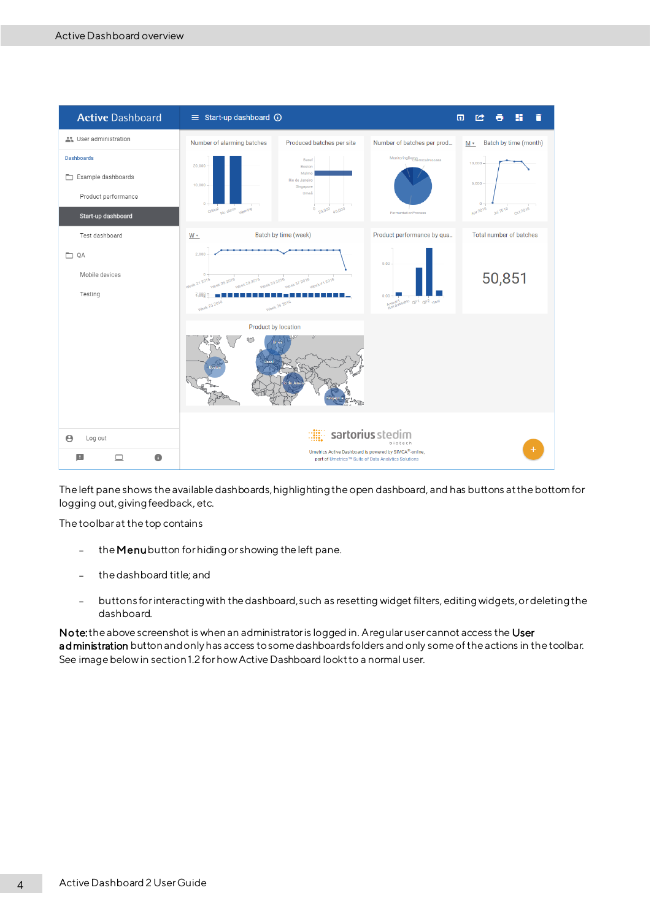

The left pane shows the available dashboards, highlighting the open dashboard, and has buttons at the bottom for logging out, giving feedback, etc.

The toolbar at the top contains

- the Menubutton for hiding or showing the left pane.  $\overline{a}$
- the dashboard title; and
- buttons for interacting with the dashboard, such as resetting widget filters, editingwidgets,or deleting the dashboard.

No te: the above screenshot is when an administrator is logged in. A regular user cannot access the User administration button and only has access to some dashboards folders and only some of the actions in the toolbar. See image below in sectio[n 1.2](#page-8-0) for how Active Dashboard lookt to a normal user.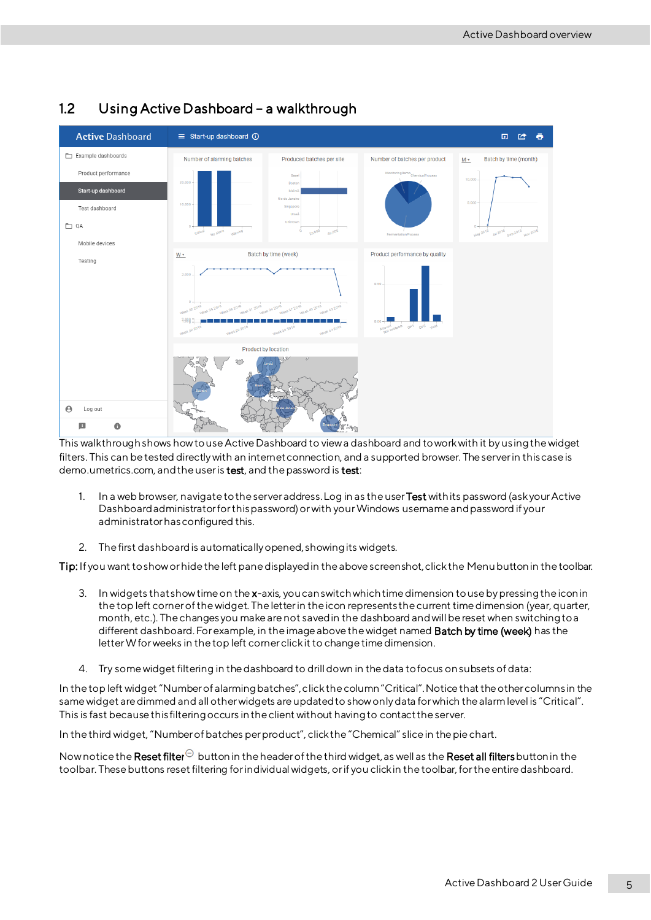

## <span id="page-8-0"></span>1.2 Using Active Dashboard – a walkthrough

This walkthroughshows how to use Active Dashboard to view a dashboard and to work with it by us ing the widget filters. This can be tested directly with an internet connection, and a supported browser. The server in this case is demo.umetrics.com, and the user is test, and the password is test:

- 1. In a web browser, navigate to the server address. Log in as the user Test with its password (ask your Active Dashboard administrator for this password) or with your Windows username and password if your administrator has configured this.
- 2. The first dashboard is automatically opened, showing its widgets.

Tip: If you want to show or hide the left pane displayed in the above screenshot, click the Menubutton in the toolbar.

- 3. In widgets that show time on the x-axis, you can switch which time dimension to use by pressing the icon in the top left corner of the widget. The letter in the icon represents the current time dimension (year, quarter, month, etc.). The changes you make are not saved in the dashboard andwill be reset when switching to a different dashboard. For example, in the image above the widget named **Batch by time (week)** has the letter W for weeks in the top left corner click it to change time dimension.
- 4. Try some widget filtering in the dashboard to drill down in the data to focus on subsets of data:

In the top left widget "Number of alarming batches", clickthe column "Critical". Notice that the other columns in the same widget are dimmed and all other widgets are updated to show only data for which the alarm level is "Critical". This is fast because this filtering occurs in the client without having to contact the server.

In the third widget, "Number of batches per product", click the "Chemical" slice in the pie chart.

Now notice the Reset filter  $\Theta$  button in the header of the third widget, as well as the Reset all filters button in the toolbar. These buttons reset filtering for individual widgets, or if you click in the toolbar, for the entire dashboard.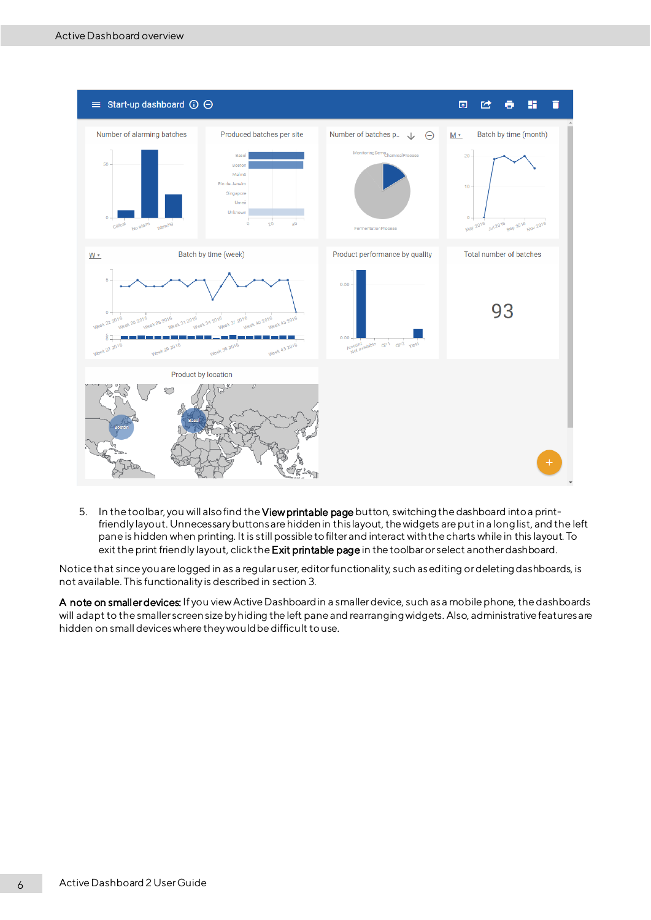

5. In the toolbar, you will also find the View printable page button, switching the dashboard into a printfriendly layout. Unnecessary buttons are hidden in this layout, the widgets are put in a long list, and the left pane is hidden when printing. It is still possible to filter and interact with the charts while in this layout. To exit the print friendly layout, click the Exit printable page in the toolbar or select another dashboard.

Notice that since you are logged in as a regular user, editor functionality, such as editing or deleting dashboards, is not available. This functionality is described in sectio[n 3](#page-13-0).

A note on smaller devices: If you view Active Dashboard in a smaller device, such as a mobile phone, the dashboards will adapt to the smaller screen size by hiding the left pane and rearranging widgets. Also, administrative features are hidden on small devices where they would be difficult to use.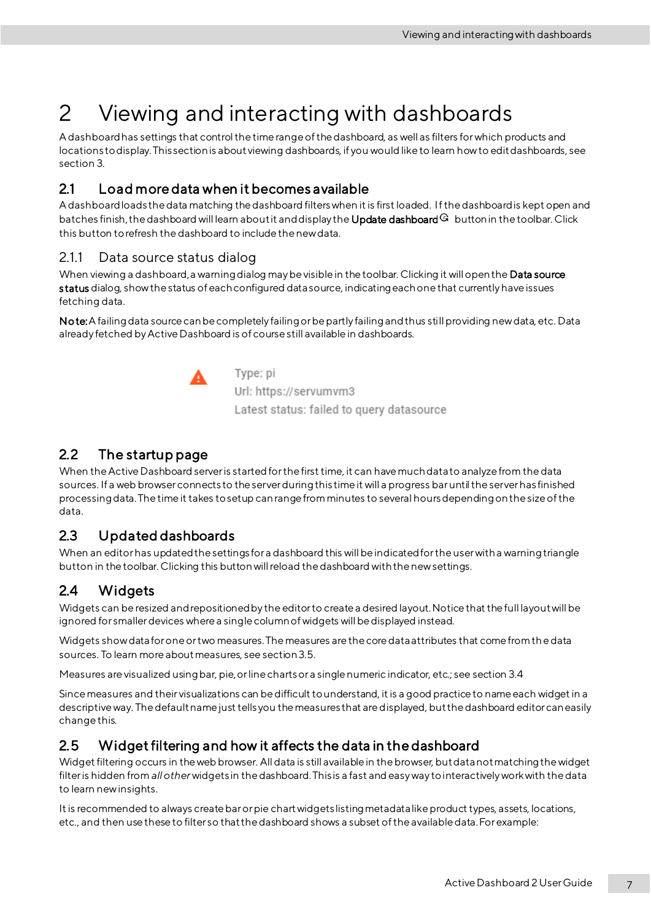# <span id="page-10-0"></span>2 Viewing and interacting with dashboards

A dashboard has settings that control the time range of the dashboard, as well as filters for which products and locations to display. This section is about viewing dashboards, if you would like to learn how to edit dashboards, see sectio[n 3.](#page-13-0)

## <span id="page-10-1"></span>2.1 Load more data when it becomes available

A dashboard loads the data matching the dashboard filters when it is first loaded. If the dashboard is kept open and batches finish, the dashboard will learn about it and display the Update dashboard  $\mathbb G$  button in the toolbar. Click this button to refresh the dashboard to include the new data.

### <span id="page-10-2"></span>2.1.1 Data source status dialog

When viewing a dashboard, a warning dialog may be visible in the toolbar. Clicking it will open the Data source status dialog, show the status of each configured data source, indicating each one that currently have issues fetching data.

Note: A failing data source can be completely failing or be partly failing and thus still providing new data, etc. Data already fetched by Active Dashboard is of course still available in dashboards.



Type: pi Url: https://servumvm3 Latest status: failed to query datasource

## <span id="page-10-3"></span>2.2 The startup page

When the Active Dashboard server is started for the first time, it can have much data to analyze from the data sources. If a web browserconnects to the server during this time it will a progress bar until the server has finished processing data. The time it takes to setup can range from minutes to several hours depending on the size of the data.

## <span id="page-10-4"></span>2.3 Updated dashboards

When an editorhas updated the settings for a dashboard this will be indicated for the user with a warning triangle button in the toolbar. Clicking this button will reload the dashboard with the new settings.

## <span id="page-10-5"></span>2.4 Widgets

Widgets can be resized and repositioned by the editor to create a desired layout. Notice that the full layout will be ignored for smaller devices where a single column of widgets will be displayed instead.

Widgets show data for one or two measures. The measures are the core data attributes that come from the data sources. To learn more about measures, see sectio[n3.5.](#page-16-0)

Measures are visualized using bar, pie, or line charts or a single numeric indicator, etc.; see section [3.4](#page-15-2)

Since measures and their visualizations can be difficult to understand, it is a good practice to name each widget in a descriptive way. The default name just tells you the measures that are displayed, but the dashboard editor can easily change this.

## <span id="page-10-6"></span>2.5 Widget filtering and how it affects the data in the dashboard

Widget filtering occurs in the web browser. Alldata is still available in the browser, but data not matching the widget filter is hidden from *all other* widgets in the dashboard. This is a fast and easy way to interactively work with the data to learn new insights.

It is recommended to always create bar or pie chartwidgets listing metadata like product types, assets, locations, etc., and then use these to filter so that the dashboard shows a subset of the available data. For example: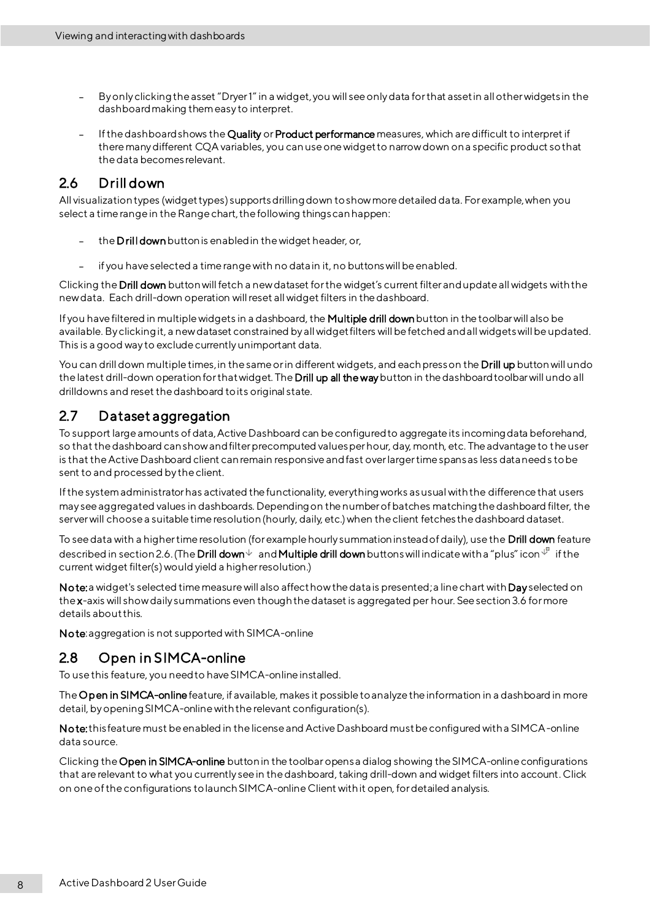- By only clicking the asset "Dryer 1"in a widget,you will see only data for that asset in all other widgets in the dashboard making them easy to interpret.
- If the dashboard shows the Quality or Product performance measures, which are difficult to interpret if there many different CQA variables, you can use one widget to narrow down on a specific product so that the data becomes relevant.

## <span id="page-11-0"></span>2.6 Drill down

All visualization types (widget types) supports drilling down to show more detailed data. For example, when you select a time range in the Range chart, the following things can happen:

- the Drill downbutton is enabled in the widget header, or,
- if you have selected a time range with no data in it, no buttons will be enabled.

Clicking the **Drill down** button will fetch a new dataset for the widget's current filter and update all widgets with the new data. Each drill-down operation will reset all widget filters in the dashboard.

If you have filtered in multiple widgets in a dashboard, the Multiple drill down button in the toolbar will also be available. By clicking it, a new dataset constrained by all widget filters will be fetched and all widgets will be updated. This is a good way to exclude currently unimportant data.

You can drill down multiple times, in the same or in different widgets, and each press on the Drill up button will undo the latest drill-down operation for that widget. The Drill up all the way button in the dashboard toolbar will undo all drilldowns and reset the dashboard to its original state.

## <span id="page-11-1"></span>2.7 Dataset aggregation

To support large amounts of data, Active Dashboard can be configured to aggregate its incoming data beforehand, so that the dashboard can show and filter precomputed values per hour, day, month, etc. The advantage to the user is that the Active Dashboard client can remain responsive and fast over larger time spans as less data needs to be sent to and processed by the client.

If the system administrator has activated the functionality, everything works as usual with the difference that users may see aggregated values in dashboards. Depending on the number of batches matching the dashboard filter, the server will choose a suitable time resolution (hourly, daily, etc.) when the client fetches the dashboard dataset.

To see data with a higher time resolution (for example hourly summation instead of daily), use the Drill down feature described in section 2.6. (The **Drill down**  $\vee$  and **Multiple drill down** buttons will indicate with a "plus" icon  $\vee$  if the current widget filter(s) would yield a higher resolution.)

Note: a widget's selected time measure will also affect how the data is presented; a line chart with Day selected on the x-axis will show daily summations even though the dataset is aggregated per hour. See sectio[n3.6](#page-17-0) for more details about this.

Note: aggregation is not supported with SIMCA-online

## <span id="page-11-2"></span>2.8 Open in SIMCA-online

To use this feature, you needto have SIMCA-online installed.

The Open in SIMCA-online feature, if available, makes it possible to analyze the information in a dashboard in more detail, by opening SIMCA-online with the relevant configuration(s).

Note: this feature must be enabled in the license and Active Dashboard must be configured with a SIMCA-online data source.

Clicking the Open in SIMCA-online button in the toolbaropens a dialog showing the SIMCA-online configurations that are relevant to what you currently see in the dashboard, taking drill-down and widget filters into account. Click on one of the configurations to launch SIMCA-onlineClient with it open, for detailed analysis.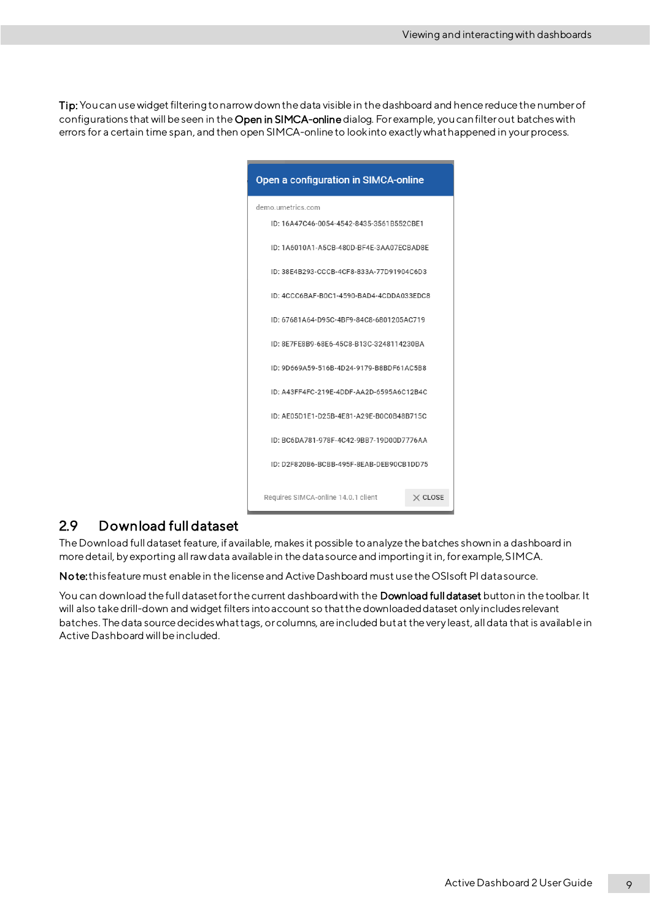Tip: You can use widget filtering to narrow down the data visible in the dashboard and hence reduce the number of configurations that will be seen in the Open in SIMCA-onlinedialog. For example, you can filter out batcheswith errors for a certain time span, and then open SIMCA-online to look into exactly what happened in your process.

| Open a configuration in SIMCA-online     |                |
|------------------------------------------|----------------|
| demo.umetrics.com                        |                |
| ID: 16A47C46-0054-4542-8435-3561B552CBE1 |                |
| ID: 1A6010A1-A5CB-480D-BF4E-3AA07ECBAD8E |                |
| ID: 38E4B293-CCCB-4CF8-833A-77D91904C6D3 |                |
| ID: 4CCC6BAF-B0C1-4590-BAD4-4CDDA033EDC8 |                |
| ID: 67681A64-D95C-4BF9-84C8-6801205AC719 |                |
| ID: 8E7FE8B9-68E6-45C8-B13C-3248114230BA |                |
| ID: 9D669A59-516B-4D24-9179-B8BDF61AC5B8 |                |
| ID: A43FF4FC-219E-4DDF-AA2D-6595A6C12B4C |                |
| ID: AE05D1E1-D25B-4E81-A29E-B0C0B48B715C |                |
| ID: BC6DA781-978F-4C42-9BB7-19D00D7776AA |                |
| ID: D2F820B6-BCBB-495F-8EAB-DEB90CB1DD75 |                |
| Requires SIMCA-online 14.0.1 client      | $\times$ CLOSE |

### <span id="page-12-0"></span>2.9 Download full dataset

The Download full dataset feature, if available, makes it possible to analyze the batches shown in a dashboard in more detail, by exporting all raw data available in the data source and importing it in, for example, SIMCA.

No te:this feature must enable in the license and Active Dashboard must use the OSIsoft PI data source.

You can download the full dataset for the current dashboard with the Download full dataset button in the toolbar. It will also take drill-down and widget filters into account so that the downloaded dataset only includes relevant batches. The data source decides what tags, or columns, are included but at the very least, all data that is available in Active Dashboard will be included.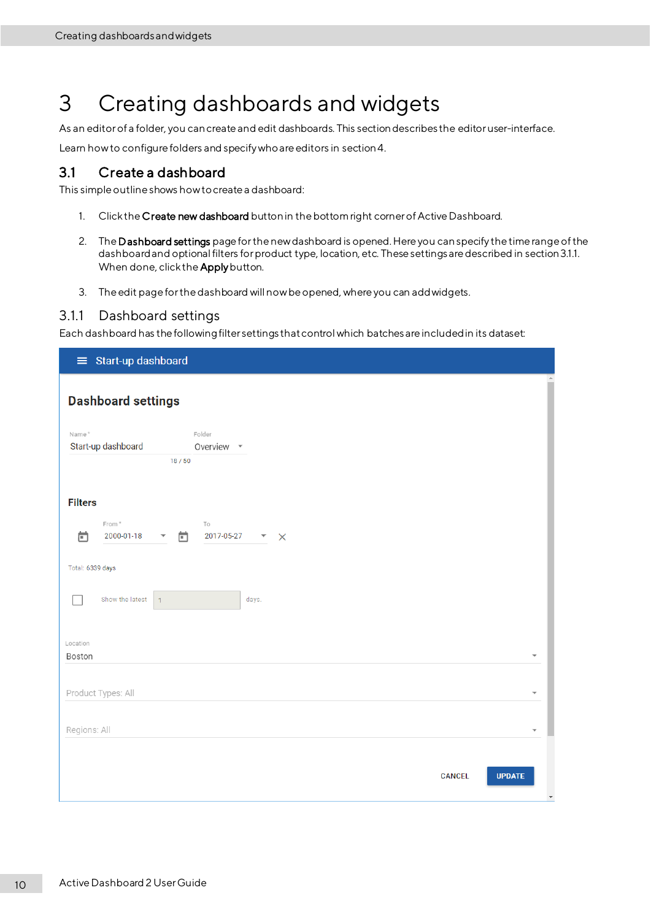# <span id="page-13-0"></span>3 Creating dashboards and widgets

As an editor of a folder, you can create and edit dashboards. This section describes the editor user-interface.

Learn how to configure folders and specify who are editors in sectio[n4](#page-18-0).

### <span id="page-13-1"></span>3.1 Create a dashboard

This simple outline shows how to create a dashboard:

- 1. Click the Create new dashboard button in the bottom right corner of Active Dashboard.
- 2. The Dashboard settings page for the new dashboard is opened. Here you can specify the time range of the dashboard and optional filters for product type, location, etc. These settings are described in sectio[n3.1.1](#page-13-2). When done, click the Apply button.
- 3. The edit page for the dashboard will now be opened, where you can add widgets.

#### <span id="page-13-2"></span>3.1.1 Dashboard settings

Each dashboard has the following filter settings that control which batches are included in its dataset:

| <b>Dashboard settings</b><br>Name*<br>Folder<br>Start-up dashboard<br>Overview -<br>18/50<br><b>Filters</b><br>From *<br>To<br>卣<br>ö<br>2000-01-18<br>2017-05-27<br>$\overline{\phantom{a}}$ $\times$<br>$\overline{\mathbf{v}}$<br>Total: 6339 days<br>Show the latest<br>days.<br>$\mathbf{1}$<br>Location<br>Boston<br>Product Types: All<br>Regions: All<br><b>CANCEL</b> |
|--------------------------------------------------------------------------------------------------------------------------------------------------------------------------------------------------------------------------------------------------------------------------------------------------------------------------------------------------------------------------------|
|                                                                                                                                                                                                                                                                                                                                                                                |
|                                                                                                                                                                                                                                                                                                                                                                                |
|                                                                                                                                                                                                                                                                                                                                                                                |
|                                                                                                                                                                                                                                                                                                                                                                                |
|                                                                                                                                                                                                                                                                                                                                                                                |
|                                                                                                                                                                                                                                                                                                                                                                                |
|                                                                                                                                                                                                                                                                                                                                                                                |
|                                                                                                                                                                                                                                                                                                                                                                                |
|                                                                                                                                                                                                                                                                                                                                                                                |
|                                                                                                                                                                                                                                                                                                                                                                                |
|                                                                                                                                                                                                                                                                                                                                                                                |
|                                                                                                                                                                                                                                                                                                                                                                                |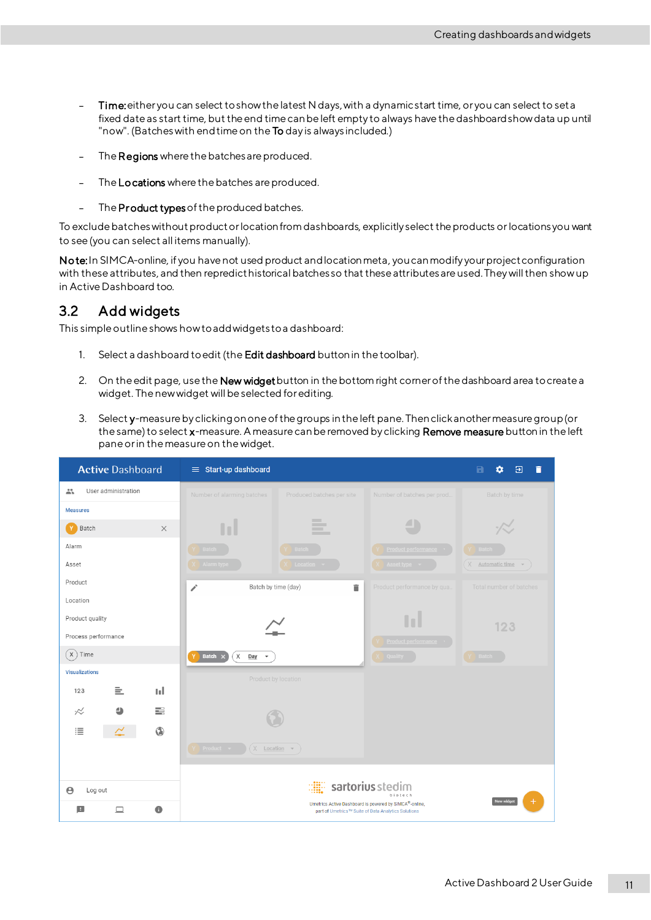- Time:either you can select to show the latest N days, with a dynamic start time, or you can select to set a  $\overline{a}$ fixed date as start time, but the end time can be left empty to always have the dashboard show data up until "now". (Batches with end time on the To day is always included.)
- The Regions where the batches are produced.
- The Locations where the batches are produced.
- The Product types of the produced batches.  $\frac{1}{2}$

To exclude batches without productor location from dashboards, explicitly select the products orlocations you want to see (you can select all items manually).

Note: In SIMCA-online, if you have not used product and location meta, you can modify your project configuration with these attributes, and then repredict historical batches so that these attributes are used. They will then show up in Active Dashboard too.

## <span id="page-14-0"></span>3.2 Add widgets

This simple outline shows how to add widgets to a dashboard:

- 1. Select a dashboard to edit (the Edit dashboard button in the toolbar).
- 2. On the edit page, use the New widget button in the bottom right corner of the dashboard area to create a widget. The new widget will be selected for editing.
- 3. Select y-measure by clicking on one of the groups in the left pane. Then click another measure group (or the same) to select x-measure. A measure can be removed by clicking Remove measure button in the left pane or in the measure on the widget.

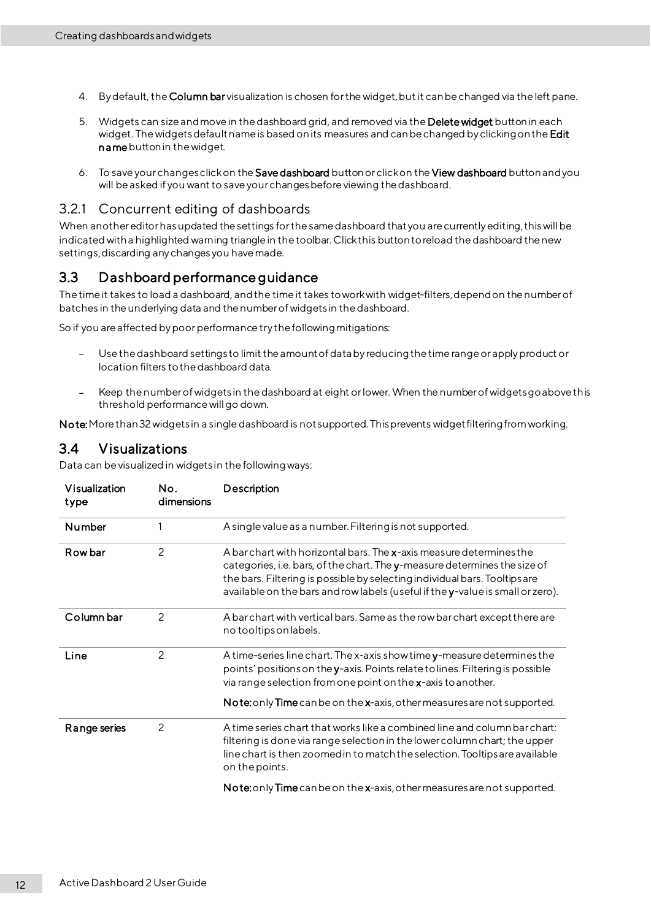- 4. By default, the Column bar visualization is chosen for the widget,but it can be changed via the left pane.
- 5. Widgets can size and move in the dashboard grid, and removed via the Delete widget button in each widget. The widgets default name is based on its measures and can be changed by clicking on the Edit name button in the widget.
- 6. To save your changes click on the Save dashboard button orclick on the View dashboard button and you will be asked if you want to save your changes before viewing the dashboard.

#### <span id="page-15-0"></span>3.2.1 Concurrent editing of dashboards

When another editor has updated the settings for the same dashboard that you are currently editing, this will be indicated with a highlighted warning triangle in the toolbar. Click this button to reload the dashboard the new settings, discarding any changes you have made.

### <span id="page-15-1"></span>3.3 Dashboard performance guidance

The time it takes to load a dashboard, and the time it takes to work with widget-filters, depend on the number of batches in the underlying data and the number of widgets in the dashboard.

So if you are affected by poor performance try the following mitigations:

- Use the dashboard settings to limit the amount of data by reducing the time range orapply product or location filters to the dashboard data.
- Keep the number of widgets in the dashboard at eight or lower. When the number of widgets go above this threshold performance will go down.

Note: More than 32 widgets in a single dashboard is not supported. This prevents widget filtering from working.

### <span id="page-15-2"></span>3.4 Visualizations

Data can be visualized in widgets in the following ways:

| Visualization<br>type | No.<br>dimensions | Description                                                                                                                                                                                                                                                                                                     |
|-----------------------|-------------------|-----------------------------------------------------------------------------------------------------------------------------------------------------------------------------------------------------------------------------------------------------------------------------------------------------------------|
| Number                |                   | A single value as a number. Filtering is not supported.                                                                                                                                                                                                                                                         |
| Row bar               | 2                 | A barchart with horizontal bars. The x-axis measure determines the<br>categories, i.e. bars, of the chart. The y-measure determines the size of<br>the bars. Filtering is possible by selecting individual bars. Tooltips are<br>available on the bars and row labels (useful if the y-value is small or zero). |
| Column bar            | $\mathcal{P}$     | A bar chart with vertical bars. Same as the row bar chart except there are<br>no tooltips on labels.                                                                                                                                                                                                            |
| Line                  | $\overline{2}$    | A time-series line chart. The x-axis show time y-measure determines the<br>points' positions on the y-axis. Points relate to lines. Filtering is possible<br>via range selection from one point on the x-axis to another.                                                                                       |
|                       |                   | Note: only Time can be on the x-axis, other measures are not supported.                                                                                                                                                                                                                                         |
| Range series          | 2                 | A time series chart that works like a combined line and column bar chart:<br>filtering is done via range selection in the lower column chart; the upper<br>line chart is then zoomed in to match the selection. Tooltips are available<br>on the points.                                                        |
|                       |                   |                                                                                                                                                                                                                                                                                                                 |

Note: only Time can be on the x-axis, other measures are not supported.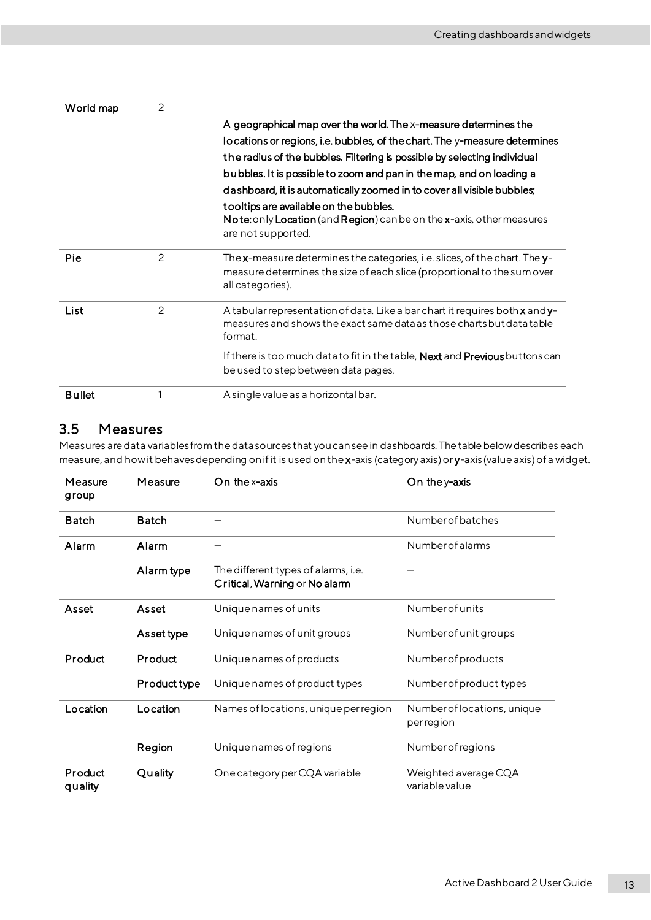| World map     | 2 |                                                                                                                                                                           |
|---------------|---|---------------------------------------------------------------------------------------------------------------------------------------------------------------------------|
|               |   | A geographical map over the world. The x-measure determines the                                                                                                           |
|               |   | lo cations or regions, i.e. bubbles, of the chart. The y-measure determines                                                                                               |
|               |   | the radius of the bubbles. Filtering is possible by selecting individual                                                                                                  |
|               |   | bubbles. It is possible to zoom and pan in the map, and on loading a                                                                                                      |
|               |   | dashboard, it is automatically zoomed in to cover all visible bubbles;                                                                                                    |
|               |   | tooltips are available on the bubbles.<br>Note: only Location (and Region) can be on the x-axis, other measures<br>are not supported.                                     |
| Pie           | 2 | The x-measure determines the categories, i.e. slices, of the chart. The y-<br>measure determines the size of each slice (proportional to the sum over<br>all categories). |
| List          | 2 | A tabular representation of data. Like a bar chart it requires both x and y-<br>measures and shows the exact same data as those charts but data table<br>format.          |
|               |   | If there is too much datato fit in the table, <b>Next</b> and <b>Previous</b> buttons can<br>be used to step between data pages.                                          |
| <b>Bullet</b> |   | A single value as a horizontal bar.                                                                                                                                       |

## <span id="page-16-0"></span>3.5 Measures

Measures are data variables from the data sources that you can see in dashboards. The table below describes each measure, and how it behaves depending on if it is used on the x-axis (category axis) or y-axis (value axis) of a widget.

| Measure<br>group   | Measure      | On the x-axis                                                        | On the $y$ -axis                          |
|--------------------|--------------|----------------------------------------------------------------------|-------------------------------------------|
| <b>Batch</b>       | <b>Batch</b> |                                                                      | Number of batches                         |
| Alarm              | Alarm        |                                                                      | Number of alarms                          |
|                    | Alarm type   | The different types of alarms, i.e.<br>Critical, Warning or No alarm |                                           |
| Asset              | Asset        | Unique names of units                                                | Numberofunits                             |
|                    | Asset type   | Unique names of unit groups                                          | Number of unit groups                     |
| Product            | Product      | Unique names of products                                             | Number of products                        |
|                    | Product type | Unique names of product types                                        | Number of product types                   |
| Location           | Location     | Names of locations, unique per region                                | Number of locations, unique<br>per region |
|                    | Region       | Unique names of regions                                              | <b>Number of regions</b>                  |
| Product<br>quality | Quality      | One category per CQA variable                                        | Weighted average CQA<br>variable value    |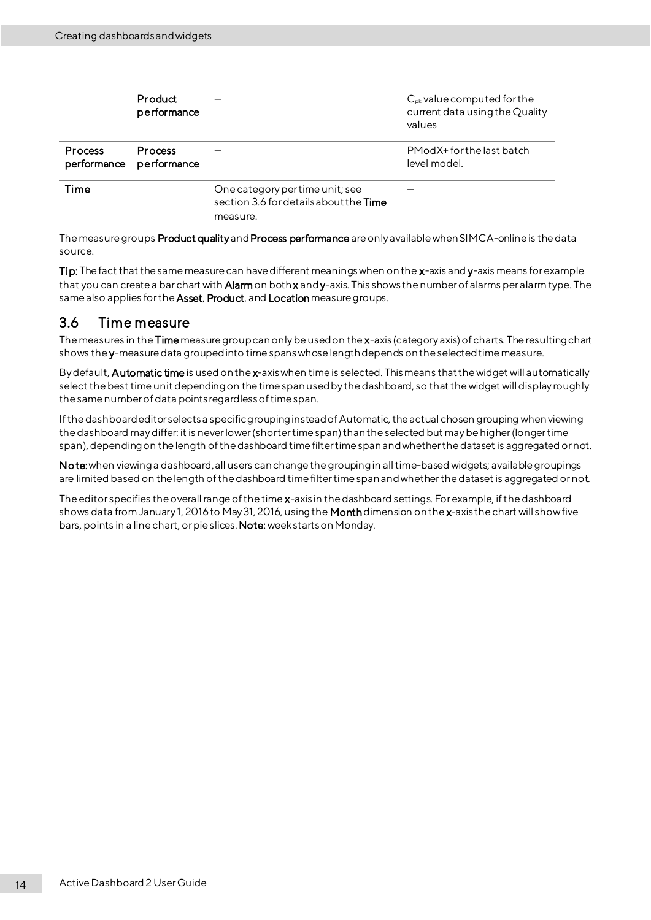|                               | Product<br>performance |                                                                                      | $C_{\rm pk}$ value computed for the<br>current data using the Quality<br>values |
|-------------------------------|------------------------|--------------------------------------------------------------------------------------|---------------------------------------------------------------------------------|
| <b>Process</b><br>performance | Process<br>performance |                                                                                      | PModX+forthelast batch<br>level model.                                          |
| Time                          |                        | One category per time unit; see<br>section 3.6 for details about the Time<br>measure |                                                                                 |

The measure groups Product quality and Process performance are only available when SIMCA-online is the data source.

Tip: The fact that the same measure can have different meanings when on the x-axis and y-axis means for example that you can create a barchart with **Alarm** on both **x** and y-axis. This shows the number of alarms per alarm type. The same also applies for the Asset, Product, and Location measure groups.

### <span id="page-17-0"></span>3.6 Time measure

The measures in the Time measure group can only be used on the x-axis (category axis) of charts. The resulting chart shows the y-measure data grouped into time spans whose length depends on the selected time measure.

By default, **Automatic time** is used on the x-axis when time is selected. This means that the widget will automatically select the best time unit depending on the time span used by the dashboard, so that the widget will display roughly the same number of data points regardless of time span.

If the dashboard editor selects a specific grouping instead of Automatic, the actual chosen grouping when viewing the dashboard may differ: it is never lower (shorter time span) than the selected but may be higher (longer time span), depending on the length of the dashboard time filter time span and whether the dataset is aggregated or not.

Note: when viewing a dashboard, all users can change the grouping in all time-based widgets; available groupings are limited based on the length of the dashboard time filter time span and whether the dataset is aggregated or not.

The editor specifies the overall range of the time x-axis in the dashboard settings. For example, if the dashboard shows data from January 1, 2016 to May 31, 2016, using the Month dimension on the x-axis the chart will show five bars, points in a line chart, or pie slices. Note: week starts on Monday.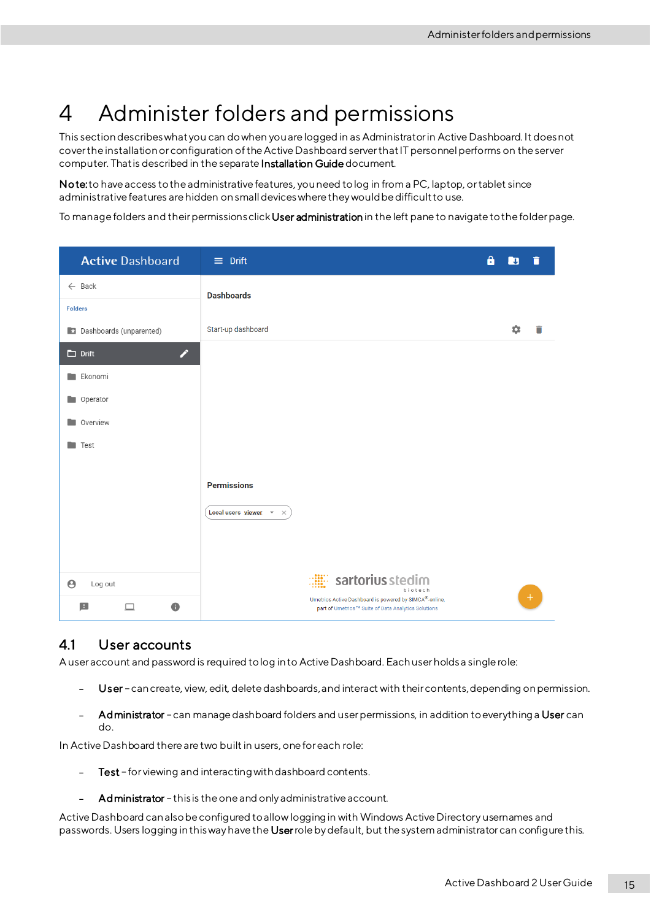# <span id="page-18-0"></span>4 Administer folders and permissions

This section describes whatyou can do when you are logged in as Administrator in Active Dashboard. It does not cover the installation or configuration of the Active Dashboard server that IT personnel performs on the server computer. That is described in the separate Installation Guide document.

Note: to have access to the administrative features, you need to log in from a PC, laptop, or tablet since administrative features are hidden onsmall devices where they would be difficult to use.

To manage folders and their permissions click User administration in the left pane to navigate to the folder page.

| <b>Active Dashboard</b>          | $\equiv$ Drift                                                                                                | Δ | ्म | n   |
|----------------------------------|---------------------------------------------------------------------------------------------------------------|---|----|-----|
| $\leftarrow$ Back                | <b>Dashboards</b>                                                                                             |   |    |     |
| <b>Folders</b>                   |                                                                                                               |   |    |     |
| <b>C</b> Dashboards (unparented) | Start-up dashboard                                                                                            |   | 쵸  | П   |
| ╱<br>$\Box$ Drift                |                                                                                                               |   |    |     |
| Ekonomi                          |                                                                                                               |   |    |     |
| Operator                         |                                                                                                               |   |    |     |
| <b>Overview</b>                  |                                                                                                               |   |    |     |
| <b>Test</b>                      |                                                                                                               |   |    |     |
|                                  |                                                                                                               |   |    |     |
|                                  | <b>Permissions</b>                                                                                            |   |    |     |
|                                  | Local users viewer *<br>$\times$                                                                              |   |    |     |
|                                  |                                                                                                               |   |    |     |
|                                  |                                                                                                               |   |    |     |
| $\boldsymbol{\Theta}$<br>Log out | sartorius stedim<br>biotech                                                                                   |   |    |     |
| $\pm$<br>$\bullet$<br>$\Box$     | Umetrics Active Dashboard is powered by SIMCA®-online,<br>part of Umetrics™ Suite of Data Analytics Solutions |   |    | $+$ |

### <span id="page-18-1"></span>4.1 User accounts

A user account and password is required to log in to Active Dashboard. Each user holds a single role:

- $\equiv$ Us er – can create, view, edit, delete dashboards, and interact with their contents, depending on permission.
- Administrator can manage dashboard folders and user permissions, in addition to everything a User can do.

In Active Dashboard there are two built in users, one for each role:

- Test for viewing and interacting with dashboard contents.
- Administrator this is the one and only administrative account.

Active Dashboard can also be configured to allow loggingin with Windows Active Directory usernames and passwords. Users logging in this way have the Userrole by default, but the system administrator can configure this.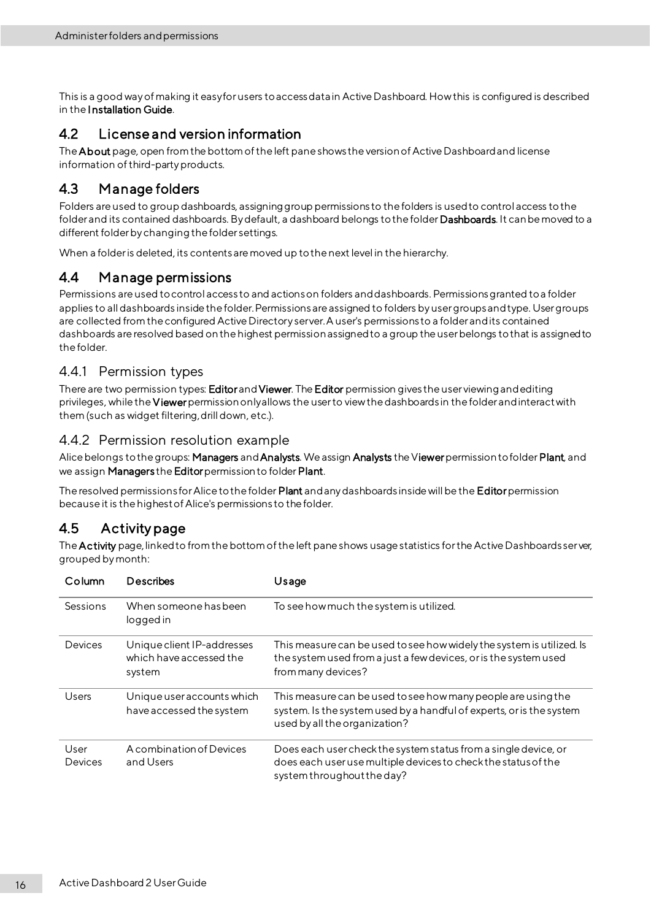This is a good way of making it easy for users to access data in Active Dashboard. How this is configured is described in the Installation Guide.

### <span id="page-19-0"></span>4.2 License and version information

The About page, open from the bottom of the left pane shows the version of Active Dashboard and license information of third-party products.

## <span id="page-19-1"></span>4.3 Manage folders

Folders are used to group dashboards, assigning group permissions to the folders is used to control access to the folder and its contained dashboards. By default, a dashboard belongs to the folder Dashboards. It can be moved to a different folder by changing the folder settings.

When a folder is deleted, its contents are moved up to the next level in the hierarchy.

### <span id="page-19-2"></span>4.4 Manage permissions

Permissions are used to control access to and actions on folders and dashboards. Permissions granted to a folder applies to all dashboards inside the folder. Permissions are assigned to folders by user groups and type. User groups are collected from the configured Active Directory server. A user's permissions to a folder and its contained dashboards are resolved based on the highest permission assigned to a group the user belongs to that is assigned to the folder.

#### <span id="page-19-3"></span>4.4.1 Permission types

There are two permission types: Editor and Viewer. The Editor permission gives the user viewing and editing privileges, while the Viewer permission only allows the user to view the dashboards in the folder and interact with them (such as widget filtering, drill down, etc.).

#### <span id="page-19-4"></span>4.4.2 Permission resolution example

Alice belongs to the groups: Managers and Analysts. We assign Analysts the Viewer permission to folder Plant, and we assign Managers the Editor permission to folder Plant.

The resolved permissions for Alice to the folder Plant and any dashboards inside will be the Editor permission because it is the highest of Alice's permissions to the folder.

## <span id="page-19-5"></span>4.5 Activity page

The Activity page, linked to from the bottom of the left pane shows usage statistics for the Active Dashboards server, grouped by month:

| Column          | Describes                                                       | Usage                                                                                                                                                                  |
|-----------------|-----------------------------------------------------------------|------------------------------------------------------------------------------------------------------------------------------------------------------------------------|
| Sessions        | When someone has been<br>logged in                              | To see how much the system is utilized.                                                                                                                                |
| Devices         | Unique client IP-addresses<br>which have accessed the<br>system | This measure can be used to see how widely the system is utilized. Is<br>the system used from a just a few devices, or is the system used<br>from many devices?        |
| Users           | Unique user accounts which<br>have accessed the system          | This measure can be used to see how many people are using the<br>system. Is the system used by a handful of experts, or is the system<br>used by all the organization? |
| User<br>Devices | A combination of Devices<br>and Users                           | Does each user check the system status from a single device, or<br>does each user use multiple devices to check the status of the<br>system throughout the day?        |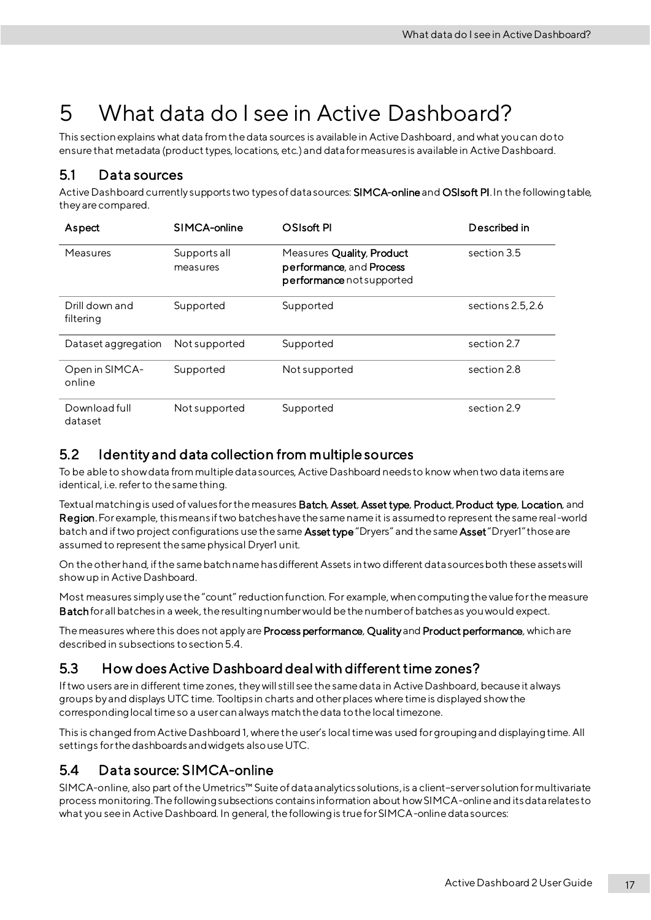# <span id="page-20-0"></span>5 What data do I see in Active Dashboard?

This section explains what data from the data sources is available in Active Dashboard, and what you can do to ensure that metadata (producttypes, locations, etc.) and data for measures is available in Active Dashboard.

### <span id="page-20-1"></span>5.1 Data sources

Active Dashboard currently supports two types of data sources: SIMCA-online and OSIsoft PI. In the following table, they are compared.

| Aspect                      | SIMCA-online             | OSIsoft PI                                                                         | Described in      |
|-----------------------------|--------------------------|------------------------------------------------------------------------------------|-------------------|
| Measures                    | Supports all<br>measures | Measures Quality, Product<br>performance, and Process<br>performance not supported | section 3.5       |
| Drill down and<br>filtering | Supported                | Supported                                                                          | sections 2.5, 2.6 |
| Dataset aggregation         | Not supported            | Supported                                                                          | section 2.7       |
| Open in SIMCA-<br>online    | Supported                | Not supported                                                                      | section 2.8       |
| Download full<br>dataset    | Not supported            | Supported                                                                          | section 2.9       |

## <span id="page-20-2"></span>5.2 Identity and data collection from multiple sources

To be able to show data from multiple data sources, Active Dashboard needs to know whentwo data items are identical, i.e. refer to the same thing.

Textual matching is used of values for the measures Batch, Asset, Asset type, Product, Product type, Location, and Region. For example, this means if two batches have the same name it is assumed to represent the same real-world batch and if two project configurations use the same Asset type "Dryers" and the same Asset "Dryer1" those are assumed to represent the same physical Dryer1 unit.

On the other hand, if the samebatch name has different Assets in two different data sources both these assets will show up in Active Dashboard.

Most measures simply use the "count" reduction function. For example, when computing the value for the measure Batchfor all batches in a week, the resulting number would be the number of batches as you would expect.

The measures where this does not apply are Process performance, Quality and Product performance, which are described in subsections to sectio[n5.4](#page-20-4).

## <span id="page-20-3"></span>5.3 How does Active Dashboard deal with different time zones?

If two users are in different time zones, they will still see the same data in Active Dashboard, because it always groups by and displays UTC time. Tooltips in charts and other places where time is displayed show the corresponding local time so a user can always match the data to the local timezone.

This is changed from Active Dashboard 1, where the user's local time was used for grouping and displaying time. All settings for the dashboards and widgets also use UTC.

## <span id="page-20-4"></span>5.4 Data source: SIMCA-online

SIMCA-online, also part of the Umetrics™ Suiteof data analytics solutions, is a client–server solution for multivariate process monitoring. The following subsections contains information about how SIMCA-online and its data relates to what you see in Active Dashboard. In general, the following is true for SIMCA-online data sources: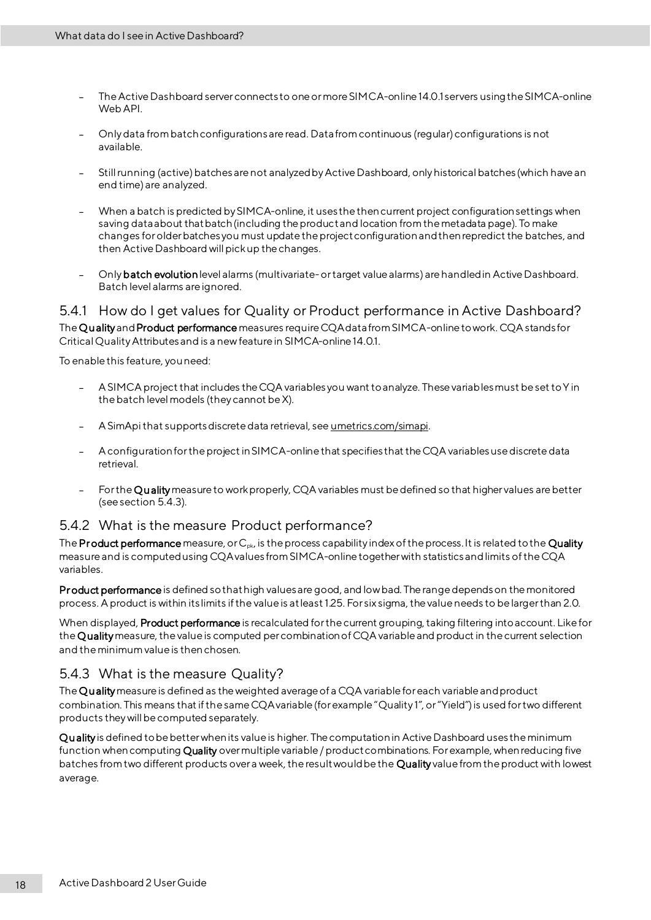- The Active Dashboard server connects to one or more SIMCA-online 14.0.1 servers using the SIMCA-online Web API.
- Only data from batch configurations are read. Data from continuous (regular) configurations is not available.
- Still running (active) batches are not analyzed by Active Dashboard, only historical batches (which have an end time) are analyzed.
- When a batch is predicted by SIMCA-online, it uses the then current project configuration settings when saving data about that batch (including the product and location from the metadata page). To make changes forolder batches you must update the project configuration and then repredict the batches, and then Active Dashboard will pick up the changes.
- Only batch evolutionlevel alarms (multivariate- or target value alarms) are handled in Active Dashboard. Batch level alarms are ignored.

<span id="page-21-0"></span>5.4.1 How do I get values for Quality or Product performance in Active Dashboard? The Qu ality and Product performance measures require CQA data from SIMCA-online to work. CQA stands for Critical Quality Attributes and is a new feature in SIMCA-online 14.0.1.

To enable this feature, you need:

- A SIMCA project that includes the CQA variables you want to analyze. These variables must be set to Y in  $\overline{\phantom{0}}$ the batch level models (they cannot be X).
- A SimApi that supports discrete data retrieval, se[e umetrics.com/simapi](http://www.umetrics.com/simapi).
- A configuration for the project in SIMCA-online that specifies that the CQA variables use discrete data retrieval.
- For the Qu alitymeasure to work properly, CQA variables must be defined so that higher values are better (seesection [5.4.3\)](#page-21-2).

#### <span id="page-21-1"></span>5.4.2 What is the measure Product performance?

The Product performance measure, or  $C_{pk}$ , is the process capability index of the process. It is related to the Quality measure and is computed using CQA values fromSIMCA-online together with statistics and limits of the CQA variables.

Pr oduct performance is defined so that high values are good, and low bad. The range depends on the monitored process. A product is within its limits if the value is at least 1.25. For six sigma, the value needs to be larger than 2.0.

When displayed, Product performance is recalculated for the current grouping, taking filtering into account. Like for the Qualitymeasure, the value is computed percombination of CQA variable and product in the current selection and the minimum value is then chosen.

#### <span id="page-21-2"></span>5.4.3 What is the measure Quality?

The Quality measure is defined as the weighted average of a CQA variable for each variable and product combination. This means that if the sameCQA variable (for example "Quality 1", or "Yield") is used for two different products they will be computed separately.

Qu ality is defined to be better when its value is higher. The computation in Active Dashboard uses the minimum function when computing Quality over multiple variable / product combinations. For example, when reducing five batches from two different products over a week, the result would be the Quality value from the product with lowest average.